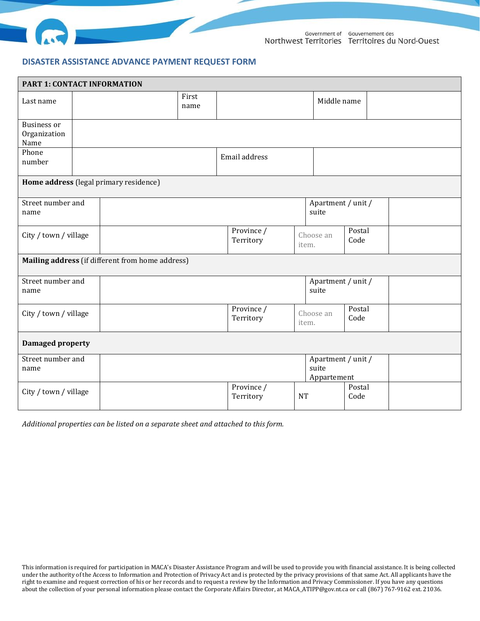

## **DISASTER ASSISTANCE ADVANCE PAYMENT REQUEST FORM**

| PART 1: CONTACT INFORMATION                |                                                  |                                                  |                         |               |                                            |                             |                |  |  |
|--------------------------------------------|--------------------------------------------------|--------------------------------------------------|-------------------------|---------------|--------------------------------------------|-----------------------------|----------------|--|--|
| Last name                                  |                                                  |                                                  | First<br>name           |               |                                            | Middle name                 |                |  |  |
| <b>Business or</b><br>Organization<br>Name |                                                  |                                                  |                         |               |                                            |                             |                |  |  |
| Phone<br>number                            |                                                  |                                                  |                         | Email address |                                            |                             |                |  |  |
|                                            |                                                  | Home address (legal primary residence)           |                         |               |                                            |                             |                |  |  |
| Street number and<br>name                  |                                                  |                                                  |                         |               |                                            | Apartment / unit /<br>suite |                |  |  |
| City / town / village                      |                                                  |                                                  |                         |               |                                            | Choose an<br>item.          | Postal<br>Code |  |  |
|                                            |                                                  | Mailing address (if different from home address) |                         |               |                                            |                             |                |  |  |
| Street number and<br>name                  |                                                  |                                                  |                         |               |                                            | Apartment / unit /<br>suite |                |  |  |
| City / town / village                      |                                                  |                                                  | Province /<br>Territory |               | Choose an<br>item.                         | Postal<br>Code              |                |  |  |
| <b>Damaged property</b>                    |                                                  |                                                  |                         |               |                                            |                             |                |  |  |
| Street number and<br>name                  |                                                  |                                                  |                         |               | Apartment / unit /<br>suite<br>Appartement |                             |                |  |  |
|                                            | Province /<br>City / town / village<br>Territory |                                                  | <b>NT</b>               |               | Postal<br>Code                             |                             |                |  |  |

*Additional properties can be listed on a separate sheet and attached to this form.*

This information is required for participation in MACA's Disaster Assistance Program and will be used to provide you with financial assistance. It is being collected under the authority of the Access to Information and Protection of Privacy Act and is protected by the privacy provisions of that same Act. All applicants have the right to examine and request correction of his or her records and to request a review by the Information and Privacy Commissioner. If you have any questions about the collection of your personal information please contact the Corporate Affairs Director, at MACA\_ATIPP@gov.nt.ca or call (867) 767-9162 ext. 21036.